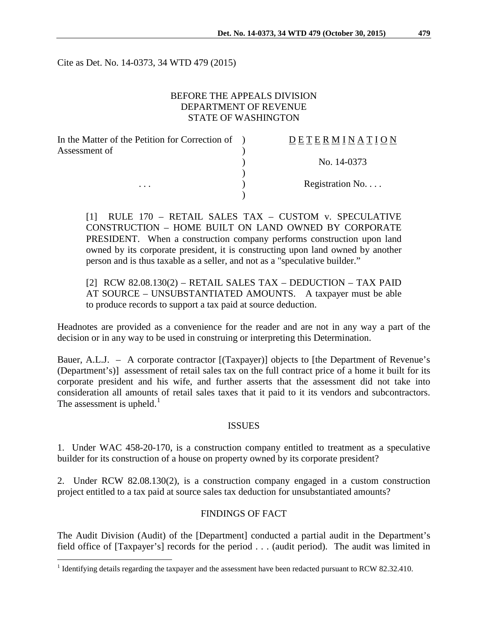Cite as Det. No. 14-0373, 34 WTD 479 (2015)

## BEFORE THE APPEALS DIVISION DEPARTMENT OF REVENUE STATE OF WASHINGTON

| In the Matter of the Petition for Correction of | <b>DETERMINATION</b>     |
|-------------------------------------------------|--------------------------|
| Assessment of                                   |                          |
|                                                 | No. 14-0373              |
|                                                 |                          |
| $\cdots$                                        | Registration No. $\dots$ |
|                                                 |                          |

[1] RULE 170 – RETAIL SALES TAX – CUSTOM v. SPECULATIVE CONSTRUCTION – HOME BUILT ON LAND OWNED BY CORPORATE PRESIDENT. When a construction company performs construction upon land owned by its corporate president, it is constructing upon land owned by another person and is thus taxable as a seller, and not as a "speculative builder."

[2] RCW 82.08.130(2) – RETAIL SALES TAX – DEDUCTION – TAX PAID AT SOURCE – UNSUBSTANTIATED AMOUNTS. A taxpayer must be able to produce records to support a tax paid at source deduction.

Headnotes are provided as a convenience for the reader and are not in any way a part of the decision or in any way to be used in construing or interpreting this Determination.

Bauer, A.L.J. – A corporate contractor [(Taxpayer)] objects to [the Department of Revenue's (Department's)] assessment of retail sales tax on the full contract price of a home it built for its corporate president and his wife, and further asserts that the assessment did not take into consideration all amounts of retail sales taxes that it paid to it its vendors and subcontractors. The assessment is upheld.<sup>[1](#page-0-0)</sup>

## ISSUES

1. Under WAC 458-20-170, is a construction company entitled to treatment as a speculative builder for its construction of a house on property owned by its corporate president?

2. Under RCW 82.08.130(2), is a construction company engaged in a custom construction project entitled to a tax paid at source sales tax deduction for unsubstantiated amounts?

#### FINDINGS OF FACT

The Audit Division (Audit) of the [Department] conducted a partial audit in the Department's field office of [Taxpayer's] records for the period . . . (audit period). The audit was limited in

<span id="page-0-0"></span><sup>&</sup>lt;sup>1</sup> Identifying details regarding the taxpayer and the assessment have been redacted pursuant to RCW 82.32.410.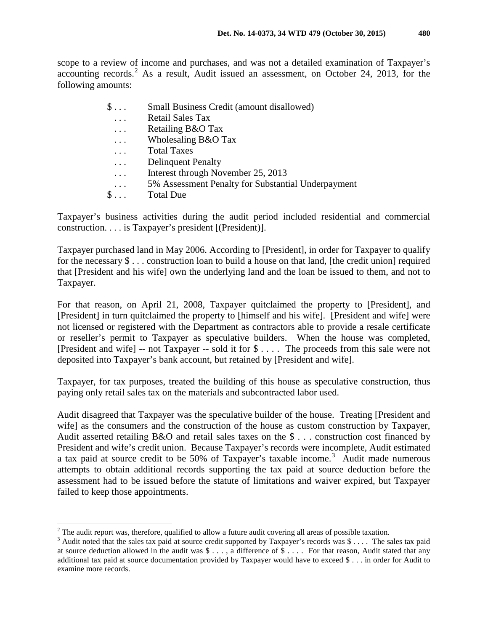scope to a review of income and purchases, and was not a detailed examination of Taxpayer's accounting records.<sup>[2](#page-1-0)</sup> As a result, Audit issued an assessment, on October 24, 2013, for the following amounts:

| $\S \dots$ | Small Business Credit (amount disallowed)          |
|------------|----------------------------------------------------|
| $\cdots$   | <b>Retail Sales Tax</b>                            |
| $\cdots$   | Retailing B&O Tax                                  |
| $\cdots$   | Wholesaling B&O Tax                                |
| .          | <b>Total Taxes</b>                                 |
| $\cdots$   | <b>Delinquent Penalty</b>                          |
| $\cdots$   | Interest through November 25, 2013                 |
| $\cdots$   | 5% Assessment Penalty for Substantial Underpayment |
| $\S \dots$ | <b>Total Due</b>                                   |
|            |                                                    |

Taxpayer's business activities during the audit period included residential and commercial construction. . . . is Taxpayer's president [(President)].

Taxpayer purchased land in May 2006. According to [President], in order for Taxpayer to qualify for the necessary  $\$\dots$  construction loan to build a house on that land, [the credit union] required that [President and his wife] own the underlying land and the loan be issued to them, and not to Taxpayer.

For that reason, on April 21, 2008, Taxpayer quitclaimed the property to [President], and [President] in turn quitclaimed the property to [himself and his wife]. [President and wife] were not licensed or registered with the Department as contractors able to provide a resale certificate or reseller's permit to Taxpayer as speculative builders. When the house was completed, [President and wife] -- not Taxpayer -- sold it for \$ . . . . The proceeds from this sale were not deposited into Taxpayer's bank account, but retained by [President and wife].

Taxpayer, for tax purposes, treated the building of this house as speculative construction, thus paying only retail sales tax on the materials and subcontracted labor used.

Audit disagreed that Taxpayer was the speculative builder of the house. Treating [President and wife] as the consumers and the construction of the house as custom construction by Taxpayer, Audit asserted retailing B&O and retail sales taxes on the \$ . . . construction cost financed by President and wife's credit union. Because Taxpayer's records were incomplete, Audit estimated a tax paid at source credit to be 50% of Taxpayer's taxable income.<sup>[3](#page-1-1)</sup> Audit made numerous attempts to obtain additional records supporting the tax paid at source deduction before the assessment had to be issued before the statute of limitations and waiver expired, but Taxpayer failed to keep those appointments.

<span id="page-1-0"></span> $2$  The audit report was, therefore, qualified to allow a future audit covering all areas of possible taxation.

<span id="page-1-1"></span> $3$  Audit noted that the sales tax paid at source credit supported by Taxpayer's records was  $\frac{6}{3}$ .... The sales tax paid at source deduction allowed in the audit was  $\frac{1}{2}$ ..., a difference of  $\frac{1}{2}$ .... For that reason, Audit stated that any additional tax paid at source documentation provided by Taxpayer would have to exceed \$ . . . in order for Audit to examine more records.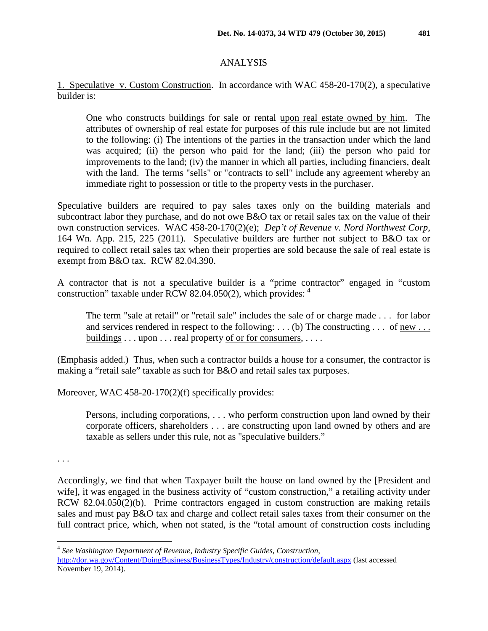## ANALYSIS

1. Speculative v. Custom Construction. In accordance with WAC 458-20-170(2), a speculative builder is:

One who constructs buildings for sale or rental upon real estate owned by him. The attributes of ownership of real estate for purposes of this rule include but are not limited to the following: (i) The intentions of the parties in the transaction under which the land was acquired; (ii) the person who paid for the land; (iii) the person who paid for improvements to the land; (iv) the manner in which all parties, including financiers, dealt with the land. The terms "sells" or "contracts to sell" include any agreement whereby an immediate right to possession or title to the property vests in the purchaser.

Speculative builders are required to pay sales taxes only on the building materials and subcontract labor they purchase, and do not owe B&O tax or retail sales tax on the value of their own construction services. WAC 458-20-170(2)(e); *Dep't of Revenue v. Nord Northwest Corp*, 164 Wn. App. 215, 225 (2011). Speculative builders are further not subject to B&O tax or required to collect retail sales tax when their properties are sold because the sale of real estate is exempt from B&O tax. RCW 82.04.390.

A contractor that is not a speculative builder is a "prime contractor" engaged in "custom construction" taxable under RCW 82.04.050(2), which provides: [4](#page-2-0)

The term "sale at retail" or "retail sale" includes the sale of or charge made . . . for labor and services rendered in respect to the following: . . . (b) The constructing . . . of <u>new . . .</u> buildings . . . upon . . . real property of or for consumers, . . . .

(Emphasis added.) Thus, when such a contractor builds a house for a consumer, the contractor is making a "retail sale" taxable as such for B&O and retail sales tax purposes.

Moreover, WAC 458-20-170(2)(f) specifically provides:

Persons, including corporations, . . . who perform construction upon land owned by their corporate officers, shareholders . . . are constructing upon land owned by others and are taxable as sellers under this rule, not as "speculative builders."

. . .

Accordingly, we find that when Taxpayer built the house on land owned by the [President and wife], it was engaged in the business activity of "custom construction," a retailing activity under RCW 82.04.050(2)(b). Prime contractors engaged in custom construction are making retails sales and must pay B&O tax and charge and collect retail sales taxes from their consumer on the full contract price, which, when not stated, is the "total amount of construction costs including

<span id="page-2-0"></span> <sup>4</sup> *See Washington Department of Revenue, Industry Specific Guides, Construction*, <http://dor.wa.gov/Content/DoingBusiness/BusinessTypes/Industry/construction/default.aspx> (last accessed November 19, 2014).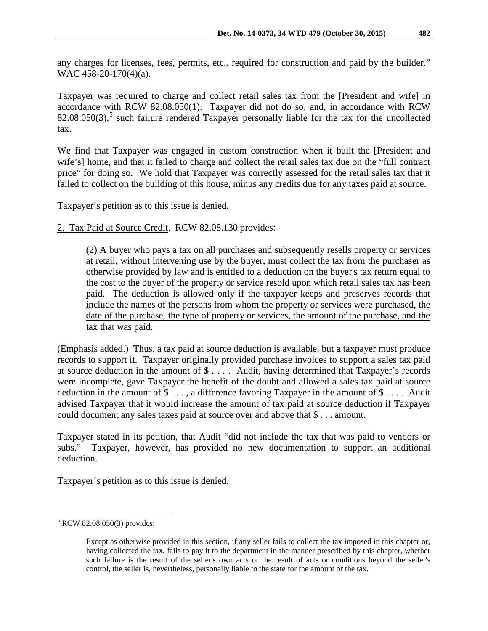any charges for licenses, fees, permits, etc., required for construction and paid by the builder." WAC 458-20-170(4)(a).

Taxpayer was required to charge and collect retail sales tax from the [President and wife] in accordance with RCW 82.08.050(1). Taxpayer did not do so, and, in accordance with RCW  $82.08.050(3)$  $82.08.050(3)$  $82.08.050(3)$ ,<sup>5</sup> such failure rendered Taxpayer personally liable for the tax for the uncollected tax.

We find that Taxpayer was engaged in custom construction when it built the [President and wife's] home, and that it failed to charge and collect the retail sales tax due on the "full contract price" for doing so. We hold that Taxpayer was correctly assessed for the retail sales tax that it failed to collect on the building of this house, minus any credits due for any taxes paid at source.

Taxpayer's petition as to this issue is denied.

2. Tax Paid at Source Credit. RCW 82.08.130 provides:

(2) A buyer who pays a tax on all purchases and subsequently resells property or services at retail, without intervening use by the buyer, must collect the tax from the purchaser as otherwise provided by law and is entitled to a deduction on the buyer's tax return equal to the cost to the buyer of the property or service resold upon which retail sales tax has been paid. The deduction is allowed only if the taxpayer keeps and preserves records that include the names of the persons from whom the property or services were purchased, the date of the purchase, the type of property or services, the amount of the purchase, and the tax that was paid.

(Emphasis added.) Thus, a tax paid at source deduction is available, but a taxpayer must produce records to support it. Taxpayer originally provided purchase invoices to support a sales tax paid at source deduction in the amount of \$ . . . . Audit, having determined that Taxpayer's records were incomplete, gave Taxpayer the benefit of the doubt and allowed a sales tax paid at source deduction in the amount of \$ . . . , a difference favoring Taxpayer in the amount of \$ . . . . Audit advised Taxpayer that it would increase the amount of tax paid at source deduction if Taxpayer could document any sales taxes paid at source over and above that \$ . . . amount.

Taxpayer stated in its petition, that Audit "did not include the tax that was paid to vendors or subs." Taxpayer, however, has provided no new documentation to support an additional deduction.

Taxpayer's petition as to this issue is denied.

<span id="page-3-0"></span> <sup>5</sup> RCW 82.08.050(3) provides:

Except as otherwise provided in this section, if any seller fails to collect the tax imposed in this chapter or, having collected the tax, fails to pay it to the department in the manner prescribed by this chapter, whether such failure is the result of the seller's own acts or the result of acts or conditions beyond the seller's control, the seller is, nevertheless, personally liable to the state for the amount of the tax.